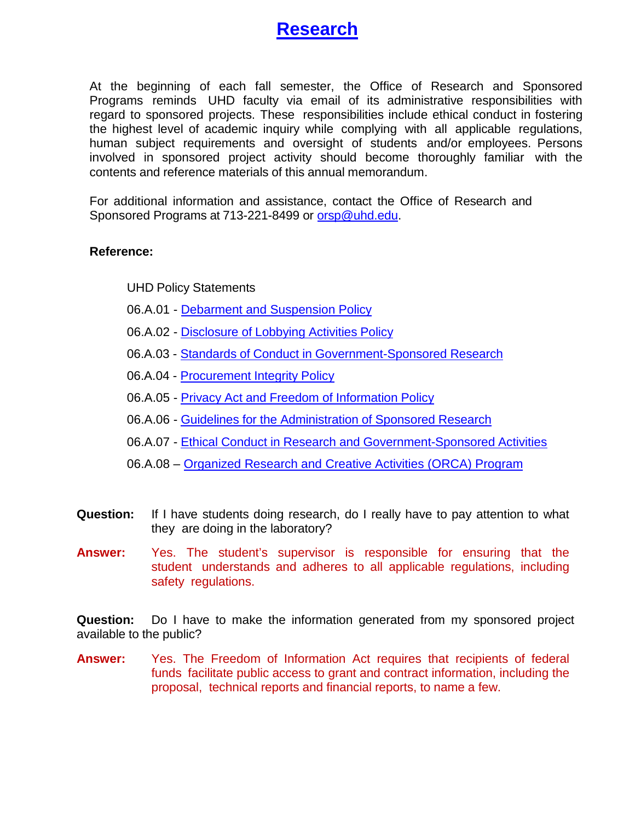

At the beginning of each fall semester, the Office of Research and Sponsored Programs reminds UHD faculty via email of its administrative responsibilities with regard to sponsored projects. These responsibilities include ethical conduct in fostering the highest level of academic inquiry while complying with all applicable regulations, human subject requirements and oversight of students and/or employees. Persons involved in sponsored project activity should become thoroughly familiar with the contents and reference materials of this annual memorandum.

For additional information and assistance, contact the Office of Research and Sponsored Programs at 713-[221-8499](mailto:orsp@uhd.edu) or orsp@uhd.edu.

## **Reference:**

UHD Policy Statements

- 06.A.01 - [Debarment and Suspension Policy](https://www.uhd.edu/administration/employment-services-operations/resources/Documents/PS06A01.pdf)
- 06.A.02 - [Disclosure](https://www.uhd.edu/administration/employment-services-operations/resources/Documents/PS06A02.pdf) of Lobbying Activities Policy
- 06.A.03 Standards of Conduct in [Government-Sponsored](https://www.uhd.edu/administration/employment-services-operations/resources/Documents/PS06A03.pdf) Research
- 06.A.04 - [Procurement](https://www.uhd.edu/administration/employment-services-operations/resources/Documents/PS06A04.pdf) Integrity Policy
- 06.A.05 - [Privacy Act and](https://www.uhd.edu/administration/employment-services-operations/resources/Documents/PS06A05.pdf) Freedom of Information Policy
- 06.A.06 Guidelines for the Administration of [Sponsored Research](https://www.uhd.edu/administration/employment-services-operations/resources/Documents/PS06A06.pdf)
- 06.A.07 Ethical Conduct in Research and [Government-Sponsored](https://www.uhd.edu/administration/employment-services-operations/resources/Documents/PS06A07.pdf) Activities
- 06.A.08 – [Organized Research and Creative Activities \(ORCA\) Program](https://www.uhd.edu/administration/employment-services-operations/resources/Documents/PS06A08.pdf)
- **Question:** If I have students doing research, do I really have to pay attention to what they are doing in the laboratory?
- **Answer:** Yes. The student's supervisor is responsible for ensuring that the student understands and adheres to all applicable regulations, including safety regulations.

**Question:** Do I have to make the information generated from my sponsored project available to the public?

**Answer:** Yes. The Freedom of Information Act requires that recipients of federal funds facilitate public access to grant and contract information, including the proposal, technical reports and financial reports, to name a few.